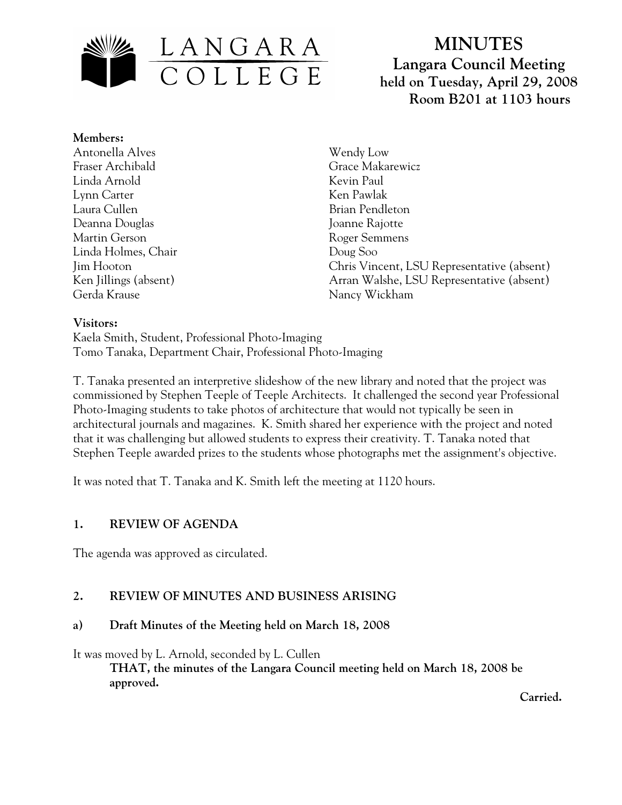

# **MINUTES Langara Council Meeting held on Tuesday, April 29, 2008 Room B201 at 1103 hours**

## **Members:**

Antonella Alves Fraser Archibald Linda Arnold Lynn Carter Laura Cullen Deanna Douglas Martin Gerson Linda Holmes, Chair Jim Hooton Ken Jillings (absent) Gerda Krause

Wendy Low Grace Makarewicz Kevin Paul Ken Pawlak Brian Pendleton Joanne Rajotte Roger Semmens Doug Soo Chris Vincent, LSU Representative (absent) Arran Walshe, LSU Representative (absent) Nancy Wickham

#### **Visitors:**

Kaela Smith, Student, Professional Photo-Imaging Tomo Tanaka, Department Chair, Professional Photo-Imaging

T. Tanaka presented an interpretive slideshow of the new library and noted that the project was commissioned by Stephen Teeple of Teeple Architects. It challenged the second year Professional Photo-Imaging students to take photos of architecture that would not typically be seen in architectural journals and magazines. K. Smith shared her experience with the project and noted that it was challenging but allowed students to express their creativity. T. Tanaka noted that Stephen Teeple awarded prizes to the students whose photographs met the assignment's objective.

It was noted that T. Tanaka and K. Smith left the meeting at 1120 hours.

## **1. REVIEW OF AGENDA**

The agenda was approved as circulated.

## **2. REVIEW OF MINUTES AND BUSINESS ARISING**

#### **a) Draft Minutes of the Meeting held on March 18, 2008**

It was moved by L. Arnold, seconded by L. Cullen

**THAT, the minutes of the Langara Council meeting held on March 18, 2008 be approved.** 

 **Carried.**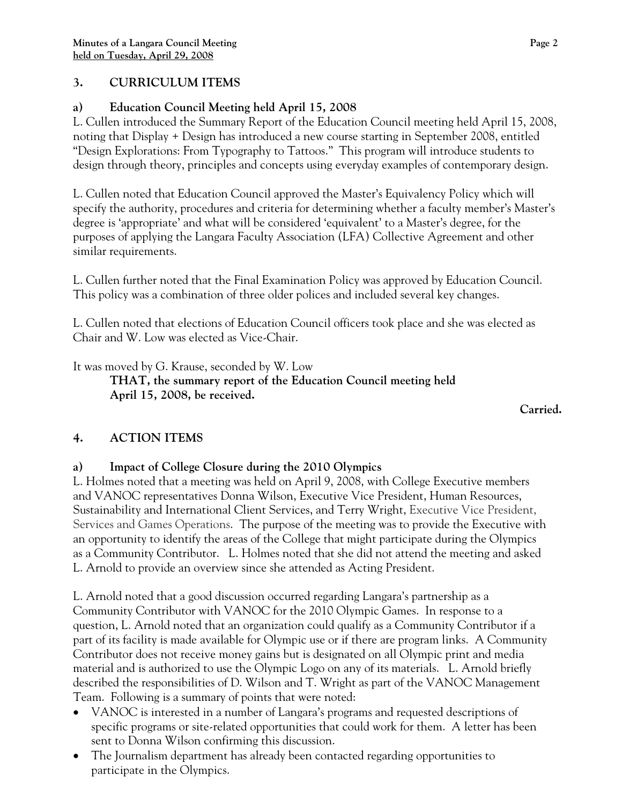## **3. CURRICULUM ITEMS**

# **a) Education Council Meeting held April 15, 2008**

L. Cullen introduced the Summary Report of the Education Council meeting held April 15, 2008, noting that Display + Design has introduced a new course starting in September 2008, entitled "Design Explorations: From Typography to Tattoos." This program will introduce students to design through theory, principles and concepts using everyday examples of contemporary design.

L. Cullen noted that Education Council approved the Master's Equivalency Policy which will specify the authority, procedures and criteria for determining whether a faculty member's Master's degree is 'appropriate' and what will be considered 'equivalent' to a Master's degree, for the purposes of applying the Langara Faculty Association (LFA) Collective Agreement and other similar requirements.

L. Cullen further noted that the Final Examination Policy was approved by Education Council. This policy was a combination of three older polices and included several key changes.

L. Cullen noted that elections of Education Council officers took place and she was elected as Chair and W. Low was elected as Vice-Chair.

It was moved by G. Krause, seconded by W. Low

**THAT, the summary report of the Education Council meeting held April 15, 2008, be received.** 

*Carried. Carried.* 

# **4. ACTION ITEMS**

# **a) Impact of College Closure during the 2010 Olympics**

L. Holmes noted that a meeting was held on April 9, 2008, with College Executive members and VANOC representatives Donna Wilson, Executive Vice President, Human Resources, Sustainability and International Client Services, and Terry Wright, Executive Vice President, Services and Games Operations. The purpose of the meeting was to provide the Executive with an opportunity to identify the areas of the College that might participate during the Olympics as a Community Contributor. L. Holmes noted that she did not attend the meeting and asked L. Arnold to provide an overview since she attended as Acting President.

L. Arnold noted that a good discussion occurred regarding Langara's partnership as a Community Contributor with VANOC for the 2010 Olympic Games. In response to a question, L. Arnold noted that an organization could qualify as a Community Contributor if a part of its facility is made available for Olympic use or if there are program links. A Community Contributor does not receive money gains but is designated on all Olympic print and media material and is authorized to use the Olympic Logo on any of its materials. L. Arnold briefly described the responsibilities of D. Wilson and T. Wright as part of the VANOC Management Team. Following is a summary of points that were noted:

- VANOC is interested in a number of Langara's programs and requested descriptions of specific programs or site-related opportunities that could work for them. A letter has been sent to Donna Wilson confirming this discussion.
- The Journalism department has already been contacted regarding opportunities to participate in the Olympics.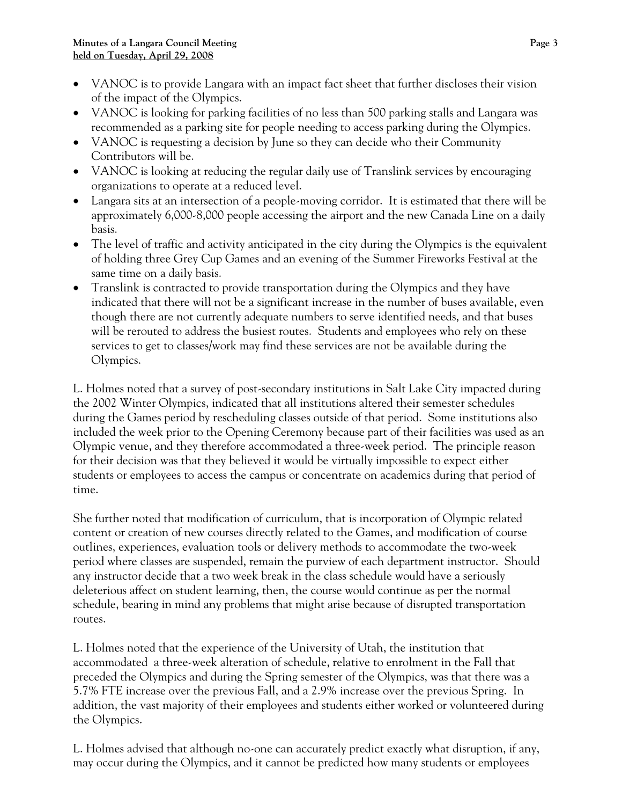- VANOC is to provide Langara with an impact fact sheet that further discloses their vision of the impact of the Olympics.
- VANOC is looking for parking facilities of no less than 500 parking stalls and Langara was recommended as a parking site for people needing to access parking during the Olympics.
- VANOC is requesting a decision by June so they can decide who their Community Contributors will be.
- VANOC is looking at reducing the regular daily use of Translink services by encouraging organizations to operate at a reduced level.
- Langara sits at an intersection of a people-moving corridor. It is estimated that there will be approximately 6,000-8,000 people accessing the airport and the new Canada Line on a daily basis.
- The level of traffic and activity anticipated in the city during the Olympics is the equivalent of holding three Grey Cup Games and an evening of the Summer Fireworks Festival at the same time on a daily basis.
- Translink is contracted to provide transportation during the Olympics and they have indicated that there will not be a significant increase in the number of buses available, even though there are not currently adequate numbers to serve identified needs, and that buses will be rerouted to address the busiest routes. Students and employees who rely on these services to get to classes/work may find these services are not be available during the Olympics.

L. Holmes noted that a survey of post-secondary institutions in Salt Lake City impacted during the 2002 Winter Olympics, indicated that all institutions altered their semester schedules during the Games period by rescheduling classes outside of that period. Some institutions also included the week prior to the Opening Ceremony because part of their facilities was used as an Olympic venue, and they therefore accommodated a three-week period. The principle reason for their decision was that they believed it would be virtually impossible to expect either students or employees to access the campus or concentrate on academics during that period of time.

She further noted that modification of curriculum, that is incorporation of Olympic related content or creation of new courses directly related to the Games, and modification of course outlines, experiences, evaluation tools or delivery methods to accommodate the two-week period where classes are suspended, remain the purview of each department instructor. Should any instructor decide that a two week break in the class schedule would have a seriously deleterious affect on student learning, then, the course would continue as per the normal schedule, bearing in mind any problems that might arise because of disrupted transportation routes.

L. Holmes noted that the experience of the University of Utah, the institution that accommodated a three-week alteration of schedule, relative to enrolment in the Fall that preceded the Olympics and during the Spring semester of the Olympics, was that there was a 5.7% FTE increase over the previous Fall, and a 2.9% increase over the previous Spring. In addition, the vast majority of their employees and students either worked or volunteered during the Olympics.

L. Holmes advised that although no-one can accurately predict exactly what disruption, if any, may occur during the Olympics, and it cannot be predicted how many students or employees